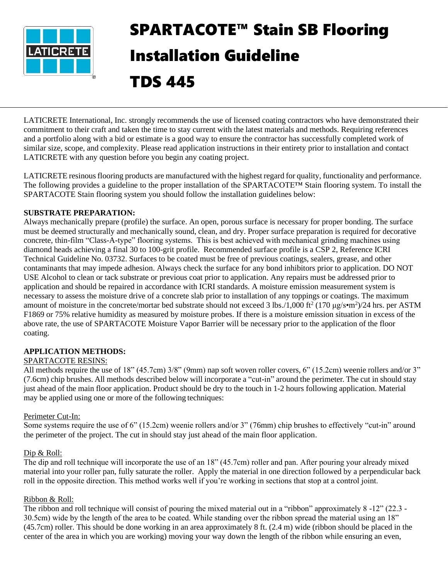

# SPARTACOTE™ Stain SB Flooring Installation Guideline TDS 445

LATICRETE International, Inc. strongly recommends the use of licensed coating contractors who have demonstrated their commitment to their craft and taken the time to stay current with the latest materials and methods. Requiring references and a portfolio along with a bid or estimate is a good way to ensure the contractor has successfully completed work of similar size, scope, and complexity. Please read application instructions in their entirety prior to installation and contact LATICRETE with any question before you begin any coating project.

LATICRETE resinous flooring products are manufactured with the highest regard for quality, functionality and performance. The following provides a guideline to the proper installation of the SPARTACOTE™ Stain flooring system. To install the SPARTACOTE Stain flooring system you should follow the installation guidelines below:

# **SUBSTRATE PREPARATION:**

Always mechanically prepare (profile) the surface. An open, porous surface is necessary for proper bonding. The surface must be deemed structurally and mechanically sound, clean, and dry. Proper surface preparation is required for decorative concrete, thin-film "Class-A-type" flooring systems. This is best achieved with mechanical grinding machines using diamond heads achieving a final 30 to 100-grit profile. Recommended surface profile is a CSP 2, Reference ICRI Technical Guideline No. 03732. Surfaces to be coated must be free of previous coatings, sealers, grease, and other contaminants that may impede adhesion. Always check the surface for any bond inhibitors prior to application. DO NOT USE Alcohol to clean or tack substrate or previous coat prior to application. Any repairs must be addressed prior to application and should be repaired in accordance with ICRI standards. A moisture emission measurement system is necessary to assess the moisture drive of a concrete slab prior to installation of any toppings or coatings. The maximum amount of moisture in the concrete/mortar bed substrate should not exceed 3 lbs./1,000 ft<sup>2</sup> (170  $\mu$ g/s•m<sup>2</sup>)/24 hrs. per ASTM F1869 or 75% relative humidity as measured by moisture probes. If there is a moisture emission situation in excess of the above rate, the use of SPARTACOTE Moisture Vapor Barrier will be necessary prior to the application of the floor coating.

# **APPLICATION METHODS:**

## SPARTACOTE RESINS:

All methods require the use of 18" (45.7cm) 3/8" (9mm) nap soft woven roller covers, 6" (15.2cm) weenie rollers and/or 3" (7.6cm) chip brushes. All methods described below will incorporate a "cut-in" around the perimeter. The cut in should stay just ahead of the main floor application. Product should be dry to the touch in 1-2 hours following application. Material may be applied using one or more of the following techniques:

## Perimeter Cut-In:

Some systems require the use of 6" (15.2cm) weenie rollers and/or 3" (76mm) chip brushes to effectively "cut-in" around the perimeter of the project. The cut in should stay just ahead of the main floor application.

## Dip & Roll:

The dip and roll technique will incorporate the use of an 18" (45.7cm) roller and pan. After pouring your already mixed material into your roller pan, fully saturate the roller. Apply the material in one direction followed by a perpendicular back roll in the opposite direction. This method works well if you're working in sections that stop at a control joint.

## Ribbon & Roll:

The ribbon and roll technique will consist of pouring the mixed material out in a "ribbon" approximately 8 -12" (22.3 - 30.5cm) wide by the length of the area to be coated. While standing over the ribbon spread the material using an 18" (45.7cm) roller. This should be done working in an area approximately 8 ft. (2.4 m) wide (ribbon should be placed in the center of the area in which you are working) moving your way down the length of the ribbon while ensuring an even,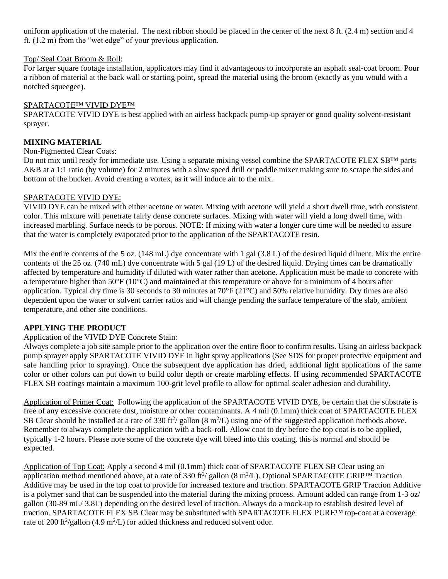uniform application of the material. The next ribbon should be placed in the center of the next 8 ft. (2.4 m) section and 4 ft. (1.2 m) from the "wet edge" of your previous application.

# Top/ Seal Coat Broom & Roll:

For larger square footage installation, applicators may find it advantageous to incorporate an asphalt seal-coat broom. Pour a ribbon of material at the back wall or starting point, spread the material using the broom (exactly as you would with a notched squeegee).

## SPARTACOTE™ VIVID DYE™

SPARTACOTE VIVID DYE is best applied with an airless backpack pump-up sprayer or good quality solvent-resistant sprayer.

# **MIXING MATERIAL**

## Non-Pigmented Clear Coats:

Do not mix until ready for immediate use. Using a separate mixing vessel combine the SPARTACOTE FLEX SB™ parts A&B at a 1:1 ratio (by volume) for 2 minutes with a slow speed drill or paddle mixer making sure to scrape the sides and bottom of the bucket. Avoid creating a vortex, as it will induce air to the mix.

## SPARTACOTE VIVID DYE:

VIVID DYE can be mixed with either acetone or water. Mixing with acetone will yield a short dwell time, with consistent color. This mixture will penetrate fairly dense concrete surfaces. Mixing with water will yield a long dwell time, with increased marbling. Surface needs to be porous. NOTE: If mixing with water a longer cure time will be needed to assure that the water is completely evaporated prior to the application of the SPARTACOTE resin.

Mix the entire contents of the 5 oz.  $(148 \text{ mL})$  dye concentrate with 1 gal  $(3.8 \text{ L})$  of the desired liquid diluent. Mix the entire contents of the 25 oz. (740 mL) dye concentrate with 5 gal (19 L) of the desired liquid. Drying times can be dramatically affected by temperature and humidity if diluted with water rather than acetone. Application must be made to concrete with a temperature higher than 50°F (10°C) and maintained at this temperature or above for a minimum of 4 hours after application. Typical dry time is 30 seconds to 30 minutes at  $70^{\circ}F(21^{\circ}C)$  and 50% relative humidity. Dry times are also dependent upon the water or solvent carrier ratios and will change pending the surface temperature of the slab, ambient temperature, and other site conditions.

# **APPLYING THE PRODUCT**

# Application of the VIVID DYE Concrete Stain:

Always complete a job site sample prior to the application over the entire floor to confirm results. Using an airless backpack pump sprayer apply SPARTACOTE VIVID DYE in light spray applications (See SDS for proper protective equipment and safe handling prior to spraying). Once the subsequent dye application has dried, additional light applications of the same color or other colors can put down to build color depth or create marbling effects. If using recommended SPARTACOTE FLEX SB coatings maintain a maximum 100-grit level profile to allow for optimal sealer adhesion and durability.

Application of Primer Coat: Following the application of the SPARTACOTE VIVID DYE, be certain that the substrate is free of any excessive concrete dust, moisture or other contaminants. A 4 mil (0.1mm) thick coat of SPARTACOTE FLEX SB Clear should be installed at a rate of 330 ft<sup>2</sup>/ gallon  $(8 \text{ m}^2/\text{L})$  using one of the suggested application methods above. Remember to always complete the application with a back-roll. Allow coat to dry before the top coat is to be applied, typically 1-2 hours. Please note some of the concrete dye will bleed into this coating, this is normal and should be expected.

Application of Top Coat: Apply a second 4 mil (0.1mm) thick coat of SPARTACOTE FLEX SB Clear using an application method mentioned above, at a rate of 330 ft<sup>2</sup>/ gallon (8 m<sup>2</sup>/L). Optional SPARTACOTE GRIP<sup>TM</sup> Traction Additive may be used in the top coat to provide for increased texture and traction. SPARTACOTE GRIP Traction Additive is a polymer sand that can be suspended into the material during the mixing process. Amount added can range from 1-3 oz/ gallon (30-89 mL/ 3.8L) depending on the desired level of traction. Always do a mock-up to establish desired level of traction. SPARTACOTE FLEX SB Clear may be substituted with SPARTACOTE FLEX PURE™ top-coat at a coverage rate of 200 ft<sup>2</sup>/gallon (4.9 m<sup>2</sup>/L) for added thickness and reduced solvent odor.